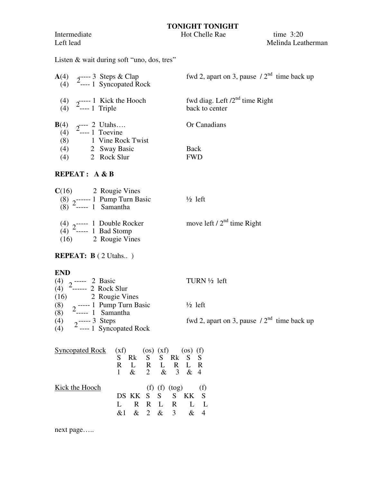Intermediate Hot Chelle Rae time 3:20

## **TONIGHT TONIGHT**

Left lead Melinda Leatherman

Listen & wait during soft "uno, dos, tres"

|     | <b>A</b> (4) $2^{---}$ 3 Steps & Clap<br>(4) $2^{---}$ 1 Syncopated Rock           | fwd 2, apart on 3, pause $/2^{nd}$ time back up       |
|-----|------------------------------------------------------------------------------------|-------------------------------------------------------|
|     | (4) $2^{---1}$ Kick the Hooch<br>(4) $2^{---1}$ Triple                             | fwd diag. Left $/2^{nd}$ time Right<br>back to center |
|     | <b>B</b> (4) $2^{---}$ 2 Utahs<br>(4) $2^{---}$ 1 Toevine<br>(8) 1 Vine Rock Twist | Or Canadians                                          |
|     | $(4)$ 2 Sway Basic                                                                 | <b>Back</b>                                           |
| (4) | 2 Rock Slur                                                                        | <b>FWD</b>                                            |
|     | <b>REPEAT:</b> $A \& B$                                                            |                                                       |

## **C**(16) 2 Rougie Vines (8) ------ 1 Pump Turn Basic ½ left (8) <sup>2</sup> ----- 1 Samantha (4)  $2^{n-1}$  Double Rocker move left /  $2^{nd}$  time Right (4)  $2^{2}$   $-1$  Bodote Roc  $(16)$  2 Rougie Vines

## **REPEAT: B** ( 2 Utahs.. )

## **END**

|  |                                                             | TURN $\frac{1}{2}$ left                         |
|--|-------------------------------------------------------------|-------------------------------------------------|
|  | (4) $2$ ----- 2 Basic<br>(4) $2$ ------ 2 Rock Slur         |                                                 |
|  | $(16)$ 2 Rougie Vines                                       |                                                 |
|  | (8) $2^{---1}$ Pump Turn Basic<br>(8) $2^{---2}$ 1 Samantha | $\frac{1}{2}$ left                              |
|  |                                                             |                                                 |
|  | (4) $2^{---3}$ Steps<br>(4) $2^{---1}$ Syncopated Rock      | fwd 2, apart on 3, pause $/2^{nd}$ time back up |
|  |                                                             |                                                 |

| Syncopated Rock $(xf)$ (os) $(xf)$ (os) $(f)$ |              |   |              |   |                   |                             |   |
|-----------------------------------------------|--------------|---|--------------|---|-------------------|-----------------------------|---|
|                                               | S            |   |              |   | Rk S S Rk S S     |                             |   |
|                                               | R            | L | $\mathbf{R}$ | L | R.                | $\mathbf{L}$                | R |
|                                               | $\mathbf{1}$ |   | $\&$ 2       |   | & 3 & 4           |                             |   |
| Kick the Hooch                                |              |   |              |   | (f) (f) (tog) (f) |                             |   |
|                                               |              |   |              |   | DS KK S S S KK S  |                             |   |
|                                               |              |   | R R L        |   | $\mathbf{R}$      |                             |   |
|                                               | $k\ell$      |   | $\&$ 2       |   | $\&$ 3            | $\mathcal{R}_{\mathcal{T}}$ |   |